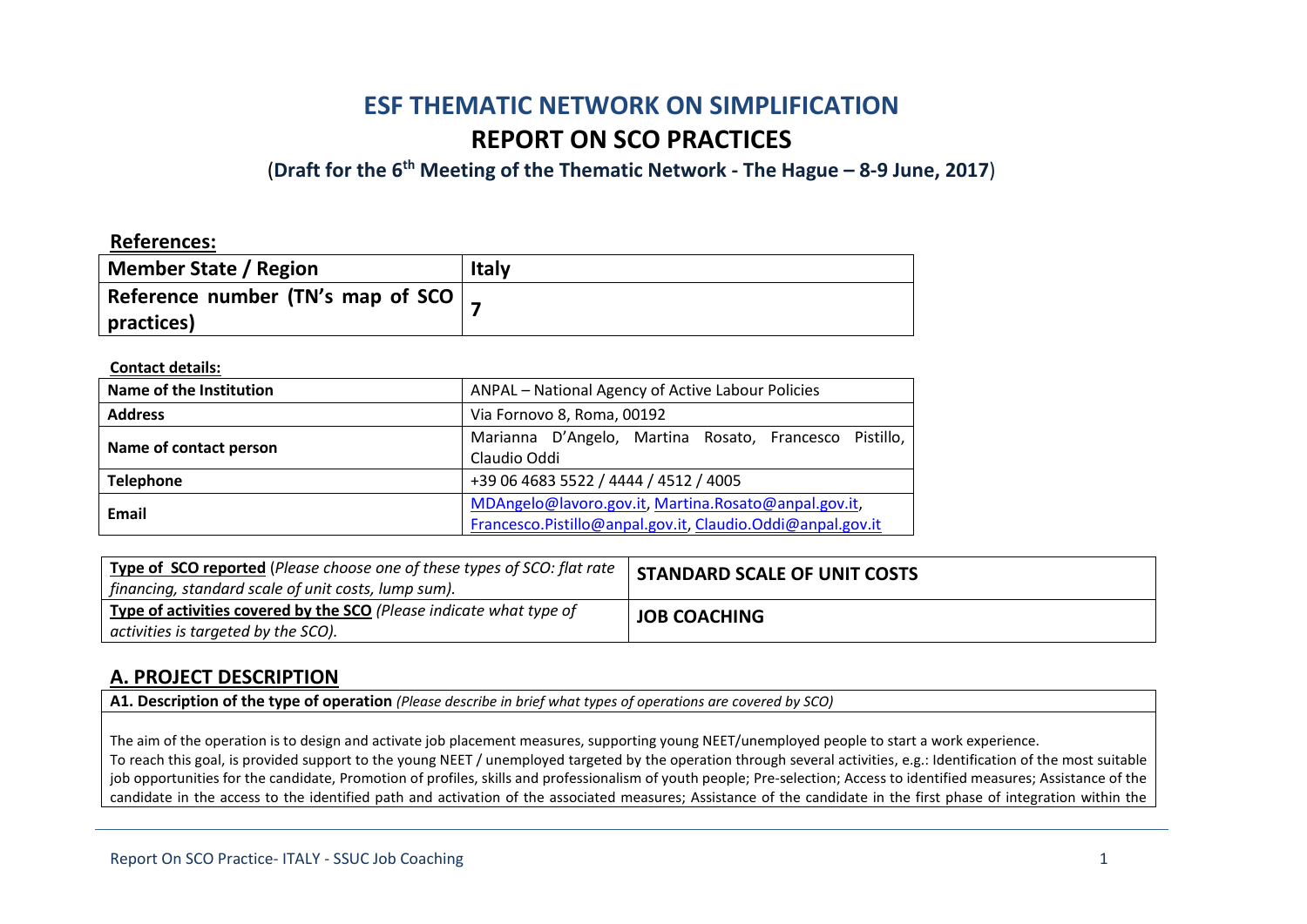# **ESF THEMATIC NETWORK ON SIMPLIFICATION REPORT ON SCO PRACTICES**

(**Draft for the 6th Meeting of the Thematic Network - The Hague – 8-9 June, 2017**)

### **References:**

| Member State / Region                                     | <b>Italy</b> |
|-----------------------------------------------------------|--------------|
| Reference number (TN's map of SCO $\vert$ ,<br>practices) |              |

### **Contact details:**

| Name of the Institution | ANPAL - National Agency of Active Labour Policies                                                                  |  |
|-------------------------|--------------------------------------------------------------------------------------------------------------------|--|
| <b>Address</b>          | Via Fornovo 8, Roma, 00192                                                                                         |  |
| Name of contact person  | Marianna D'Angelo, Martina Rosato, Francesco Pistillo,<br>Claudio Oddi                                             |  |
| <b>Telephone</b>        | +39 06 4683 5522 / 4444 / 4512 / 4005                                                                              |  |
| Email                   | MDAngelo@lavoro.gov.it, Martina.Rosato@anpal.gov.it,<br>Francesco.Pistillo@anpal.gov.it, Claudio.Oddi@anpal.gov.it |  |

| Type of SCO reported (Please choose one of these types of SCO: flat rate<br>  financing, standard scale of unit costs, lump sum). | <b>STANDARD SCALE OF UNIT COSTS</b> |
|-----------------------------------------------------------------------------------------------------------------------------------|-------------------------------------|
| Type of activities covered by the SCO (Please indicate what type of<br>activities is targeted by the SCO).                        | <b>JOB COACHING</b>                 |

### **A. PROJECT DESCRIPTION**

**A1. Description of the type of operation** *(Please describe in brief what types of operations are covered by SCO)*

The aim of the operation is to design and activate job placement measures, supporting young NEET/unemployed people to start a work experience. To reach this goal, is provided support to the young NEET / unemployed targeted by the operation through several activities, e.g.: Identification of the most suitable job opportunities for the candidate, Promotion of profiles, skills and professionalism of youth people; Pre-selection; Access to identified measures; Assistance of the candidate in the access to the identified path and activation of the associated measures; Assistance of the candidate in the first phase of integration within the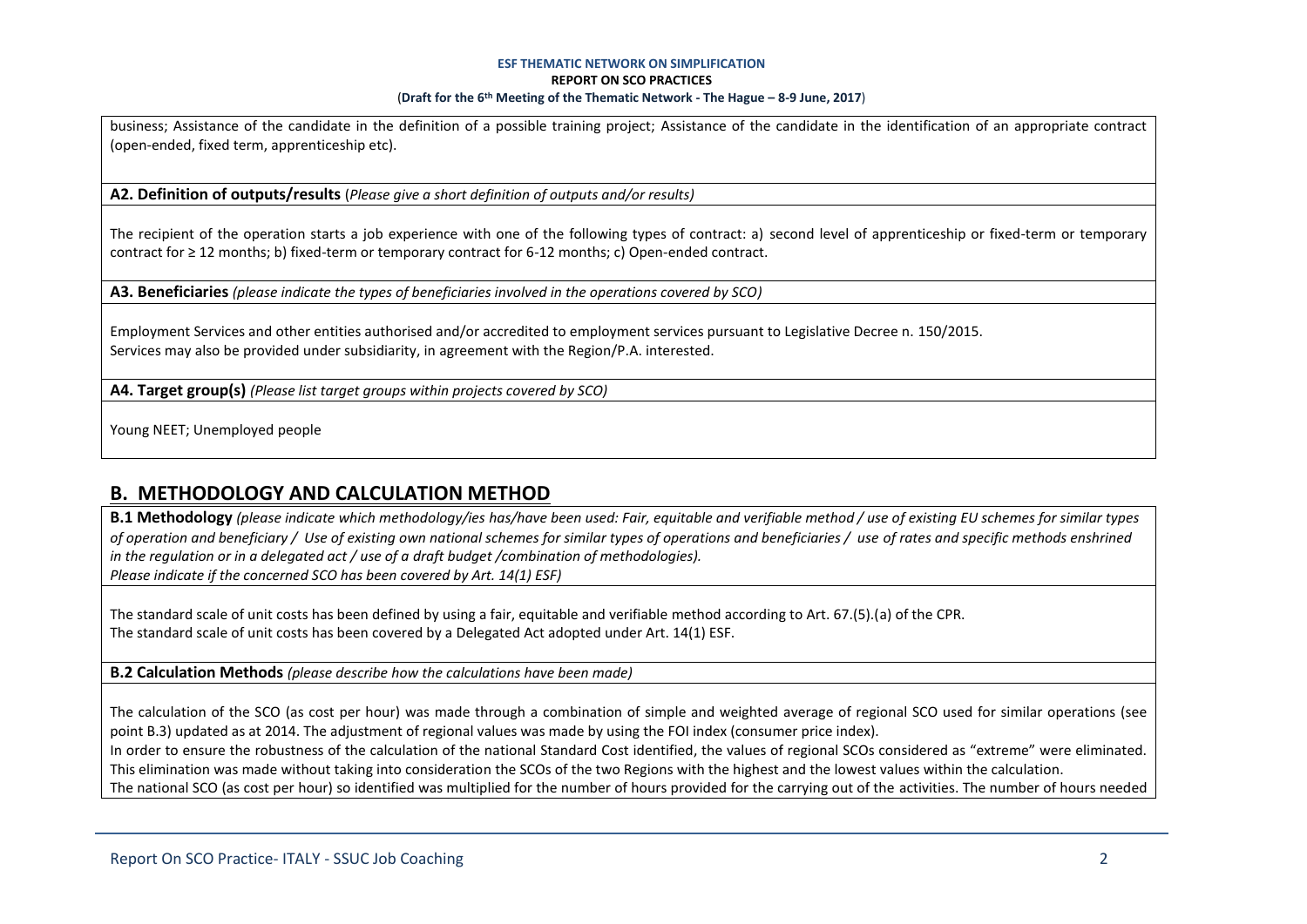business; Assistance of the candidate in the definition of a possible training project; Assistance of the candidate in the identification of an appropriate contract (open-ended, fixed term, apprenticeship etc).

**A2. Definition of outputs/results** (*Please give a short definition of outputs and/or results)*

The recipient of the operation starts a job experience with one of the following types of contract: a) second level of apprenticeship or fixed-term or temporary contract for ≥ 12 months; b) fixed-term or temporary contract for 6-12 months; c) Open-ended contract.

**A3. Beneficiaries** *(please indicate the types of beneficiaries involved in the operations covered by SCO)*

Employment Services and other entities authorised and/or accredited to employment services pursuant to Legislative Decree n. 150/2015. Services may also be provided under subsidiarity, in agreement with the Region/P.A. interested.

**A4. Target group(s)** *(Please list target groups within projects covered by SCO)*

Young NEET; Unemployed people

## **B. METHODOLOGY AND CALCULATION METHOD**

**B.1 Methodology** *(please indicate which methodology/ies has/have been used: Fair, equitable and verifiable method / use of existing EU schemes for similar types of operation and beneficiary / Use of existing own national schemes for similar types of operations and beneficiaries / use of rates and specific methods enshrined in the regulation or in a delegated act / use of a draft budget /combination of methodologies). Please indicate if the concerned SCO has been covered by Art. 14(1) ESF)*

The standard scale of unit costs has been defined by using a fair, equitable and verifiable method according to Art. 67.(5).(a) of the CPR. The standard scale of unit costs has been covered by a Delegated Act adopted under Art. 14(1) ESF.

**B.2 Calculation Methods** *(please describe how the calculations have been made)*

The calculation of the SCO (as cost per hour) was made through a combination of simple and weighted average of regional SCO used for similar operations (see point B.3) updated as at 2014. The adjustment of regional values was made by using the FOI index (consumer price index).

In order to ensure the [robustness](http://context.reverso.net/traduzione/inglese-italiano/robustness) of the calculation of the national Standard Cost identified, the values of regional SCOs considered as "extreme" were eliminated. This elimination was made without taking into consideration the SCOs of the two Regions with the highest and the lowest values within the calculation. The national SCO (as cost per hour) so identified was multiplied for the number of hours provided for the carrying out of the activities. The number of hours needed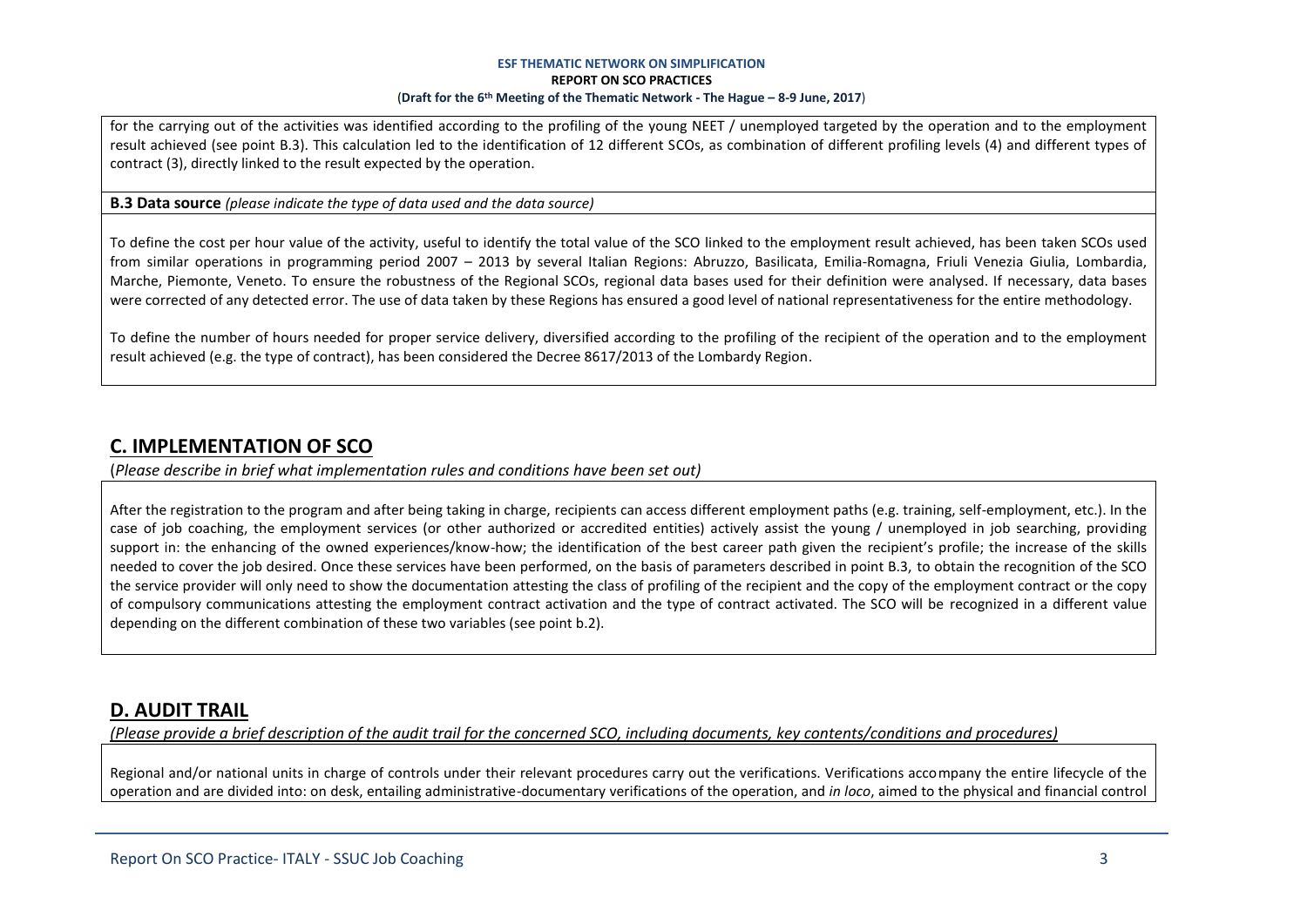for the carrying out of the activities was identified according to the profiling of the young NEET / unemployed targeted by the operation and to the employment result achieved (see point B.3). This calculation led to the identification of 12 different SCOs, as combination of different profiling levels (4) and different types of contract (3), directly linked to the result expected by the operation.

**B.3 Data source** *(please indicate the type of data used and the data source)*

To define the cost per hour value of the activity, useful to identify the total value of the SCO linked to the employment result achieved, has been taken SCOs used from similar operations in programming period 2007 – 2013 by several Italian Regions: Abruzzo, Basilicata, Emilia-Romagna, Friuli Venezia Giulia, Lombardia, Marche, Piemonte, Veneto. To ensure the [robustness](http://context.reverso.net/traduzione/inglese-italiano/robustness) of the Regional SCOs, regional data bases used for their definition were analysed. If necessary, data bases were corrected of any detected error. The use of data taken by these Regions has ensured a good level of national representativeness for the entire methodology.

To define the number of hours needed for proper service delivery, diversified according to the profiling of the recipient of the operation and to the employment result achieved (e.g. the type of contract), has been considered the Decree 8617/2013 of the Lombardy Region.

## **C. IMPLEMENTATION OF SCO**

(*Please describe in brief what implementation rules and conditions have been set out)*

After the registration to the program and after being taking in charge, recipients can access different employment paths (e.g. training, self-employment, etc.). In the case of job coaching, the employment services (or other authorized or accredited entities) actively assist the young / unemployed in job searching, providing support in: the enhancing of the owned experiences/know-how; the identification of the best career path given the recipient's profile; the increase of the skills needed to cover the job desired. Once these services have been performed, on the basis of parameters described in point B.3, to obtain the recognition of the SCO the service provider will only need to show the documentation attesting the class of profiling of the recipient and the copy of the employment contract or the copy of compulsory communications attesting the employment contract activation and the type of contract activated. The SCO will be recognized in a different value depending on the different combination of these two variables (see point b.2).

### **D. AUDIT TRAIL**

*(Please provide a brief description of the audit trail for the concerned SCO, including documents, key contents/conditions and procedures)*

Regional and/or national units in charge of controls under their relevant procedures carry out the verifications. Verifications accompany the entire lifecycle of the operation and are divided into: on desk, entailing administrative-documentary verifications of the operation, and *in loco*, aimed to the physical and financial control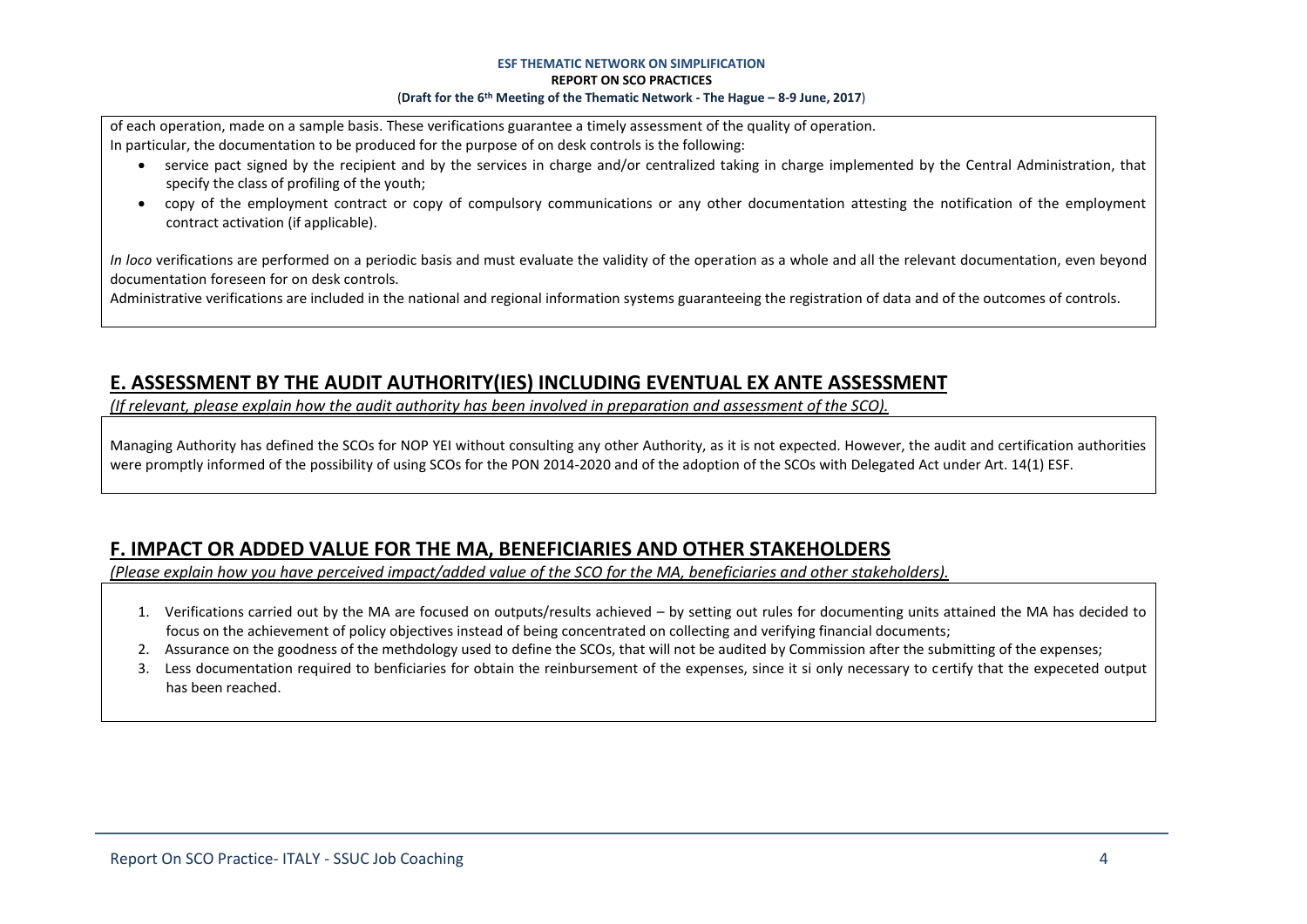of each operation, made on a sample basis. These verifications guarantee a timely assessment of the quality of operation. In particular, the documentation to be produced for the purpose of on desk controls is the following:

- service pact signed by the recipient and by the services in charge and/or centralized taking in charge implemented by the Central Administration, that specify the class of profiling of the youth;
- copy of the employment contract or copy of compulsory communications or any other documentation attesting the notification of the employment contract activation (if applicable).

*In loco* verifications are performed on a periodic basis and must evaluate the validity of the operation as a whole and all the relevant documentation, even beyond documentation foreseen for on desk controls.

Administrative verifications are included in the national and regional information systems guaranteeing the registration of data and of the outcomes of controls.

## **E. ASSESSMENT BY THE AUDIT AUTHORITY(IES) INCLUDING EVENTUAL EX ANTE ASSESSMENT**

*(If relevant, please explain how the audit authority has been involved in preparation and assessment of the SCO).* 

Managing Authority has defined the SCOs for NOP YEI without consulting any other Authority, as it is not expected. However, the audit and certification authorities were promptly informed of the possibility of using SCOs for the PON 2014-2020 and of the adoption of the SCOs with Delegated Act under Art. 14(1) ESF.

## **F. IMPACT OR ADDED VALUE FOR THE MA, BENEFICIARIES AND OTHER STAKEHOLDERS**

*(Please explain how you have perceived impact/added value of the SCO for the MA, beneficiaries and other stakeholders).* 

- 1. Verifications carried out by the MA are focused on outputs/results achieved by setting out rules for documenting units attained the MA has decided to focus on the achievement of policy objectives instead of being concentrated on collecting and verifying financial documents;
- 2. Assurance on the goodness of the methdology used to define the SCOs, that will not be audited by Commission after the submitting of the expenses;
- 3. Less documentation required to benficiaries for obtain the reinbursement of the expenses, since it si only necessary to certify that the expeceted output has been reached.